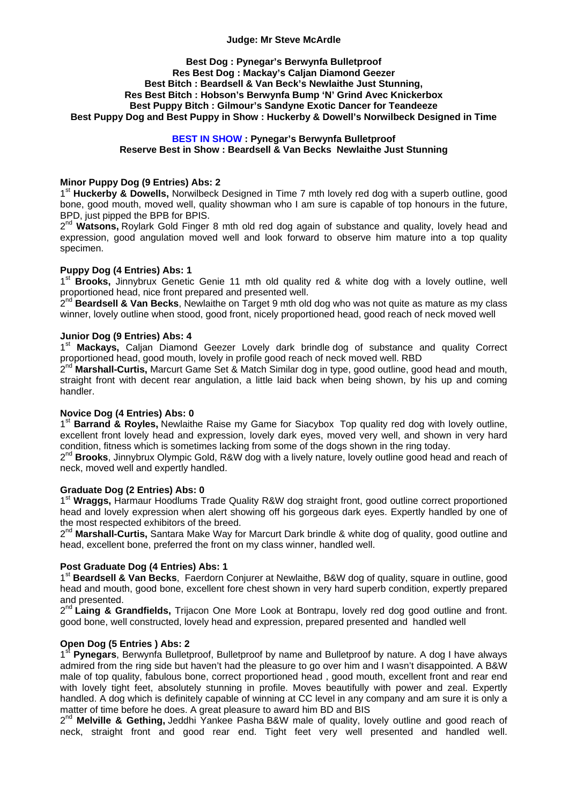### **Judge: Mr Steve McArdle**

#### **Best Dog : Pynegar's Berwynfa Bulletproof Res Best Dog : Mackay's Caljan Diamond Geezer Best Bitch : Beardsell & Van Beck's Newlaithe Just Stunning, Res Best Bitch : Hobson's Berwynfa Bump 'N' Grind Avec Knickerbox Best Puppy Bitch : Gilmour's Sandyne Exotic Dancer for Teandeeze Best Puppy Dog and Best Puppy in Show : Huckerby & Dowell's Norwilbeck Designed in Time**

### **BEST IN SHOW : Pynegar's Berwynfa Bulletproof Reserve Best in Show : Beardsell & Van Becks Newlaithe Just Stunning**

### **Minor Puppy Dog (9 Entries) Abs: 2**

1st **Huckerby & Dowells,** Norwilbeck Designed in Time 7 mth lovely red dog with a superb outline, good bone, good mouth, moved well, quality showman who I am sure is capable of top honours in the future. BPD, just pipped the BPB for BPIS.

2<sup>nd</sup> Watsons, Roylark Gold Finger 8 mth old red dog again of substance and quality, lovely head and expression, good angulation moved well and look forward to observe him mature into a top quality specimen.

### **Puppy Dog (4 Entries) Abs: 1**

1<sup>st</sup> **Brooks,** Jinnybrux Genetic Genie 11 mth old quality red & white dog with a lovely outline, well proportioned head, nice front prepared and presented well.

2<sup>nd</sup> Beardsell & Van Becks, Newlaithe on Target 9 mth old dog who was not quite as mature as my class winner, lovely outline when stood, good front, nicely proportioned head, good reach of neck moved well

#### **Junior Dog (9 Entries) Abs: 4**

1<sup>st</sup> Mackays, Caljan Diamond Geezer Lovely dark brindle dog of substance and quality Correct proportioned head, good mouth, lovely in profile good reach of neck moved well. RBD

2<sup>nd</sup> Marshall-Curtis, Marcurt Game Set & Match Similar dog in type, good outline, good head and mouth, straight front with decent rear angulation, a little laid back when being shown, by his up and coming handler.

# **Novice Dog (4 Entries) Abs: 0**

1st **Barrand & Royles,** Newlaithe Raise my Game for Siacybox Top quality red dog with lovely outline, excellent front lovely head and expression, lovely dark eyes, moved very well, and shown in very hard condition, fitness which is sometimes lacking from some of the dogs shown in the ring today.

2<sup>nd</sup> Brooks, Jinnybrux Olympic Gold, R&W dog with a lively nature, lovely outline good head and reach of neck, moved well and expertly handled.

#### **Graduate Dog (2 Entries) Abs: 0**

1st **Wraggs,** Harmaur Hoodlums Trade Quality R&W dog straight front, good outline correct proportioned head and lovely expression when alert showing off his gorgeous dark eyes. Expertly handled by one of the most respected exhibitors of the breed.

2<sup>nd</sup> Marshall-Curtis, Santara Make Way for Marcurt Dark brindle & white dog of quality, good outline and head, excellent bone, preferred the front on my class winner, handled well.

# **Post Graduate Dog (4 Entries) Abs: 1**

1st **Beardsell & Van Becks**, Faerdorn Conjurer at Newlaithe, B&W dog of quality, square in outline, good head and mouth, good bone, excellent fore chest shown in very hard superb condition, expertly prepared and presented.

2<sup>nd</sup> Laing & Grandfields, Trijacon One More Look at Bontrapu, lovely red dog good outline and front. good bone, well constructed, lovely head and expression, prepared presented and handled well

# **Open Dog (5 Entries ) Abs: 2**

1st **Pynegars**, Berwynfa Bulletproof, Bulletproof by name and Bulletproof by nature. A dog I have always admired from the ring side but haven't had the pleasure to go over him and I wasn't disappointed. A B&W male of top quality, fabulous bone, correct proportioned head , good mouth, excellent front and rear end with lovely tight feet, absolutely stunning in profile. Moves beautifully with power and zeal. Expertly handled. A dog which is definitely capable of winning at CC level in any company and am sure it is only a matter of time before he does. A great pleasure to award him BD and BIS

2<sup>nd</sup> Melville & Gething, Jeddhi Yankee Pasha B&W male of quality, lovely outline and good reach of neck, straight front and good rear end. Tight feet very well presented and handled well.